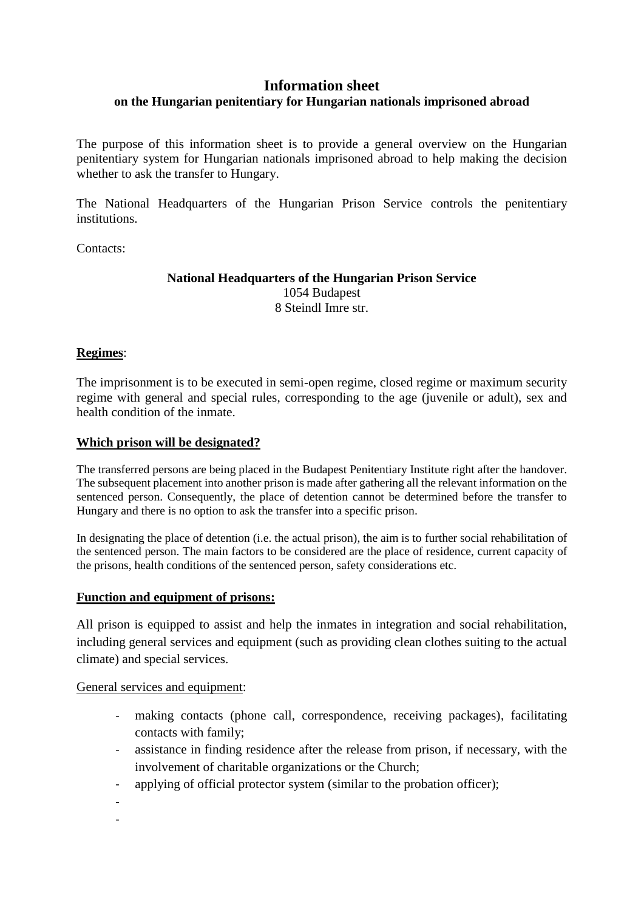# **Information sheet**

# **on the Hungarian penitentiary for Hungarian nationals imprisoned abroad**

The purpose of this information sheet is to provide a general overview on the Hungarian penitentiary system for Hungarian nationals imprisoned abroad to help making the decision whether to ask the transfer to Hungary.

The National Headquarters of the Hungarian Prison Service controls the penitentiary institutions.

Contacts:

#### **National Headquarters of the Hungarian Prison Service**  1054 Budapest 8 Steindl Imre str.

## **Regimes**:

The imprisonment is to be executed in semi-open regime, closed regime or maximum security regime with general and special rules, corresponding to the age (juvenile or adult), sex and health condition of the inmate.

### **Which prison will be designated?**

The transferred persons are being placed in the Budapest Penitentiary Institute right after the handover. The subsequent placement into another prison is made after gathering all the relevant information on the sentenced person. Consequently, the place of detention cannot be determined before the transfer to Hungary and there is no option to ask the transfer into a specific prison.

In designating the place of detention (i.e. the actual prison), the aim is to further social rehabilitation of the sentenced person. The main factors to be considered are the place of residence, current capacity of the prisons, health conditions of the sentenced person, safety considerations etc.

#### **Function and equipment of prisons:**

All prison is equipped to assist and help the inmates in integration and social rehabilitation, including general services and equipment (such as providing clean clothes suiting to the actual climate) and special services.

#### General services and equipment:

- making contacts (phone call, correspondence, receiving packages), facilitating contacts with family;
- assistance in finding residence after the release from prison, if necessary, with the involvement of charitable organizations or the Church;
- applying of official protector system (similar to the probation officer);
- -
- -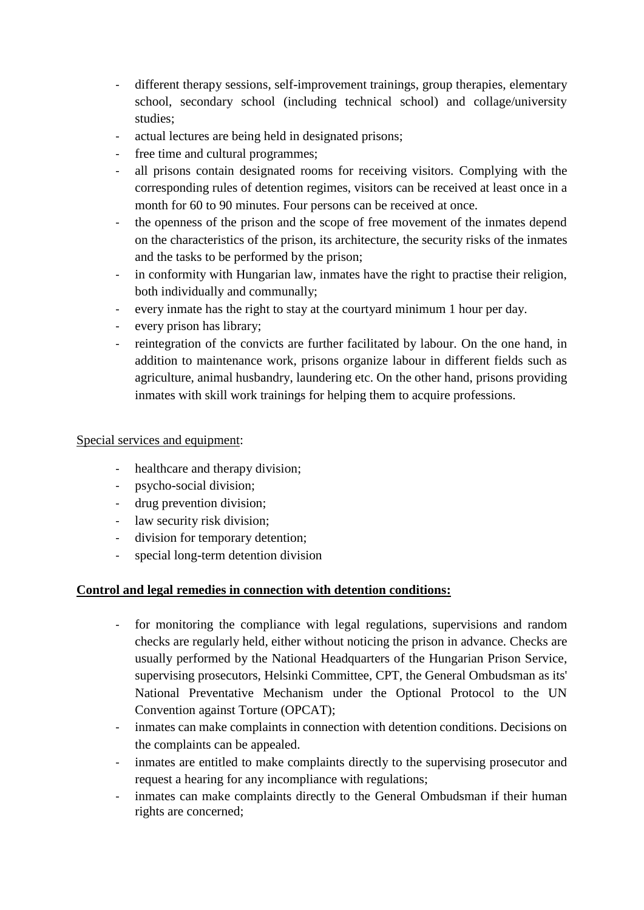- different therapy sessions, self-improvement trainings, group therapies, elementary school, secondary school (including technical school) and collage/university studies;
- actual lectures are being held in designated prisons;
- free time and cultural programmes;
- all prisons contain designated rooms for receiving visitors. Complying with the corresponding rules of detention regimes, visitors can be received at least once in a month for 60 to 90 minutes. Four persons can be received at once.
- the openness of the prison and the scope of free movement of the inmates depend on the characteristics of the prison, its architecture, the security risks of the inmates and the tasks to be performed by the prison;
- in conformity with Hungarian law, inmates have the right to practise their religion, both individually and communally;
- every inmate has the right to stay at the courtyard minimum 1 hour per day.
- every prison has library;
- reintegration of the convicts are further facilitated by labour. On the one hand, in addition to maintenance work, prisons organize labour in different fields such as agriculture, animal husbandry, laundering etc. On the other hand, prisons providing inmates with skill work trainings for helping them to acquire professions.

## Special services and equipment:

- healthcare and therapy division;
- psycho-social division;
- drug prevention division;
- law security risk division;
- division for temporary detention;
- special long-term detention division

## **Control and legal remedies in connection with detention conditions:**

- for monitoring the compliance with legal regulations, supervisions and random checks are regularly held, either without noticing the prison in advance. Checks are usually performed by the National Headquarters of the Hungarian Prison Service, supervising prosecutors, Helsinki Committee, CPT, the General Ombudsman as its' National Preventative Mechanism under the Optional Protocol to the UN Convention against Torture (OPCAT);
- inmates can make complaints in connection with detention conditions. Decisions on the complaints can be appealed.
- inmates are entitled to make complaints directly to the supervising prosecutor and request a hearing for any incompliance with regulations;
- inmates can make complaints directly to the General Ombudsman if their human rights are concerned;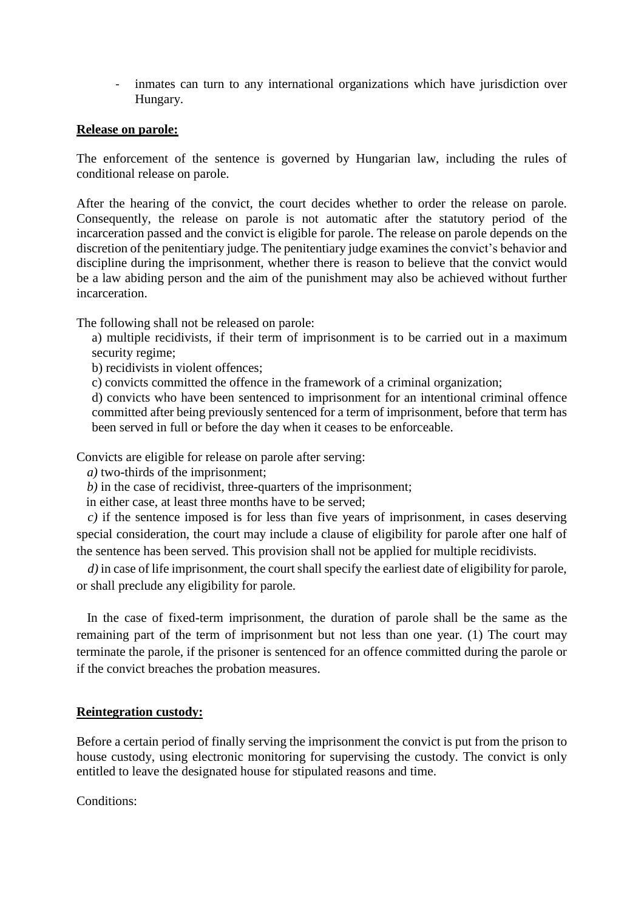- inmates can turn to any international organizations which have jurisdiction over Hungary.

### **Release on parole:**

The enforcement of the sentence is governed by Hungarian law, including the rules of conditional release on parole.

After the hearing of the convict, the court decides whether to order the release on parole. Consequently, the release on parole is not automatic after the statutory period of the incarceration passed and the convict is eligible for parole. The release on parole depends on the discretion of the penitentiary judge. The penitentiary judge examines the convict's behavior and discipline during the imprisonment, whether there is reason to believe that the convict would be a law abiding person and the aim of the punishment may also be achieved without further incarceration.

The following shall not be released on parole:

a) multiple recidivists, if their term of imprisonment is to be carried out in a maximum security regime;

b) recidivists in violent offences;

c) convicts committed the offence in the framework of a criminal organization;

d) convicts who have been sentenced to imprisonment for an intentional criminal offence committed after being previously sentenced for a term of imprisonment, before that term has been served in full or before the day when it ceases to be enforceable.

Convicts are eligible for release on parole after serving:

*a)* two-thirds of the imprisonment;

*b)* in the case of recidivist, three-quarters of the imprisonment;

in either case, at least three months have to be served;

*c)* if the sentence imposed is for less than five years of imprisonment, in cases deserving special consideration, the court may include a clause of eligibility for parole after one half of the sentence has been served. This provision shall not be applied for multiple recidivists.

*d*) in case of life imprisonment, the court shall specify the earliest date of eligibility for parole, or shall preclude any eligibility for parole.

In the case of fixed-term imprisonment, the duration of parole shall be the same as the remaining part of the term of imprisonment but not less than one year. (1) The court may terminate the parole, if the prisoner is sentenced for an offence committed during the parole or if the convict breaches the probation measures.

## **Reintegration custody:**

Before a certain period of finally serving the imprisonment the convict is put from the prison to house custody, using electronic monitoring for supervising the custody. The convict is only entitled to leave the designated house for stipulated reasons and time.

Conditions: